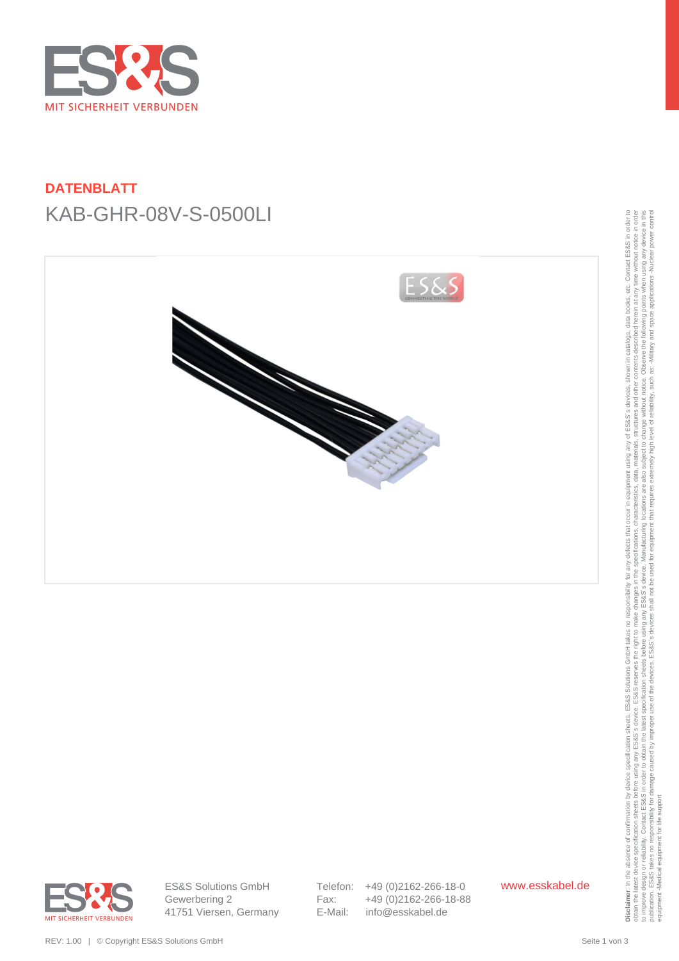

# **DATENBLATT** KAB-GHR-08V-S-0500LI





ES&S Solutions GmbH Gewerbering 2 41751 Viersen, Germany Telefon: +49 (0)2162-266-18-0 Fax: +49 (0)2162-266-18-88 E-Mail: info@esskabel.de

www.esskabel.de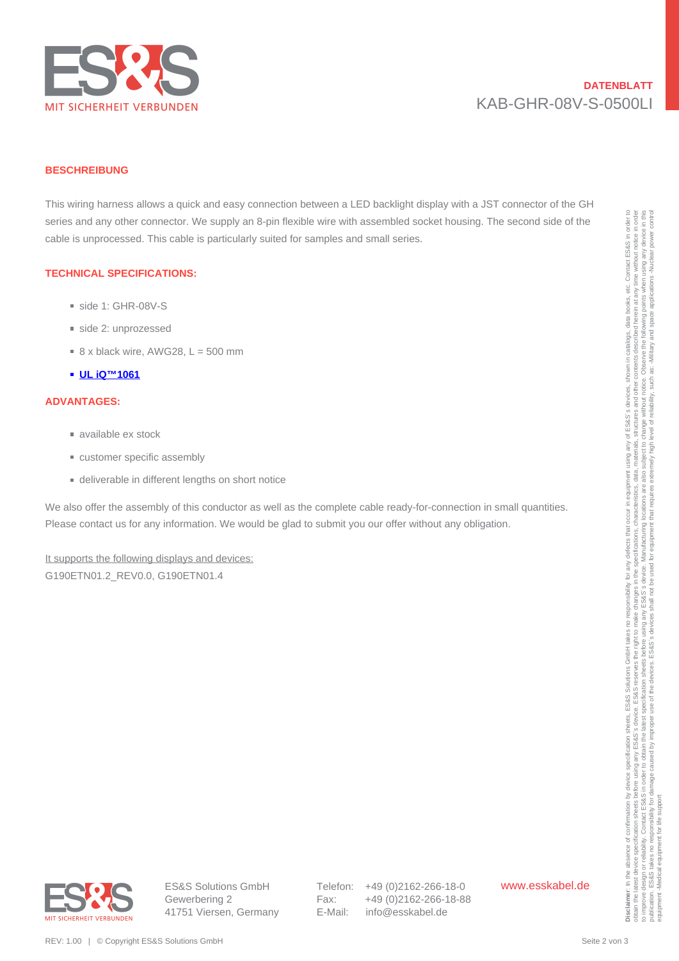

## **DATENBLATT** KAB-GHR-08V-S-0500LI

#### **BESCHREIBUNG**

This wiring harness allows a quick and easy connection between a LED backlight display with a JST connector of the GH series and any other connector. We supply an 8-pin flexible wire with assembled socket housing. The second side of the cable is unprocessed. This cable is particularly suited for samples and small series. series and any one connection. We exaptly an 8-sin fitsdle wire with assembled assistance. The second side of the<br>state is unprocessed. This calibric is used for carriers and smalle since<br>**TECHNICAL SPECIFICATIONS:**<br>
• si

#### **TECHNICAL SPECIFICATIONS:**

- side 1: GHR-08V-S
- side 2: unprozessed
- $8 \times$  black wire, AWG28, L = 500 mm
- **[UL iQ™1061](http://esskabel.de/upload/files/pdf/UL_iQU21221061.pdf)**

#### **ADVANTAGES:**

- available ex stock
- **Exercise customer specific assembly**
- deliverable in different lengths on short notice

We also offer the assembly of this conductor as well as the complete cable ready-for-connection in small quantities. Please contact us for any information. We would be glad to submit you our offer without any obligation.

It supports the following displays and devices: G190ETN01.2\_REV0.0, G190ETN01.4



ES&S Solutions GmbH Gewerbering 2 41751 Viersen, Germany Telefon: +49 (0)2162-266-18-0 Fax: +49 (0)2162-266-18-88 E-Mail: info@esskabel.de

www.esskabel.de